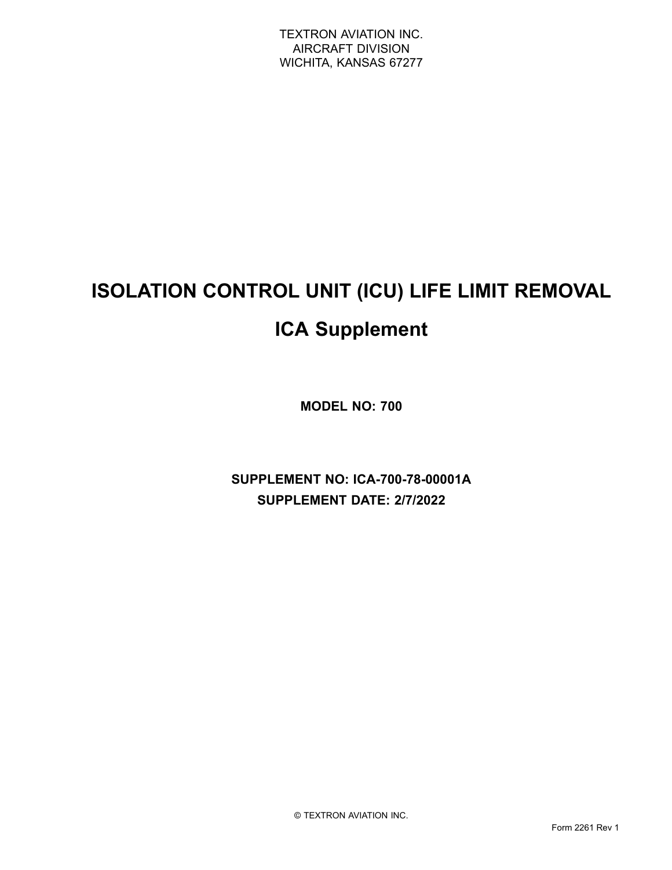# **ISOLATION CONTROL UNIT (ICU) LIFE LIMIT REMOVAL ICA Supplement**

**MODEL NO: 700**

**SUPPLEMENT NO: ICA-700-78-00001A SUPPLEMENT DATE: 2/7/2022**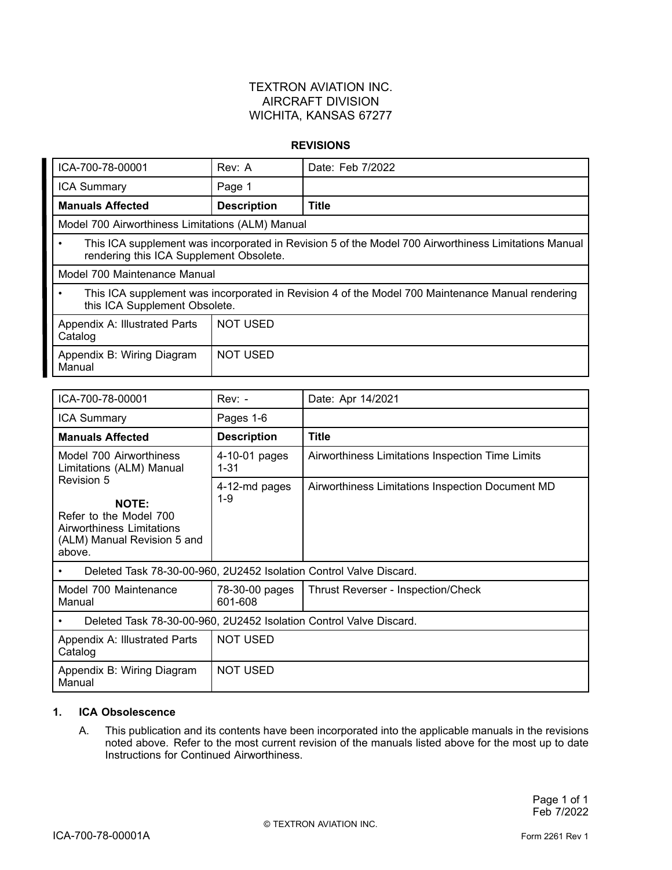### TEXTRON AVIATION INC. AIRCRAFT DIVISION WICHITA, KANSAS 67277

#### **REVISIONS**

| ICA-700-78-00001                                                                                                                                     | Rev: A             | Date: Feb 7/2022 |  |
|------------------------------------------------------------------------------------------------------------------------------------------------------|--------------------|------------------|--|
| <b>ICA Summary</b>                                                                                                                                   | Page 1             |                  |  |
| <b>Manuals Affected</b>                                                                                                                              | <b>Description</b> | <b>Title</b>     |  |
| Model 700 Airworthiness Limitations (ALM) Manual                                                                                                     |                    |                  |  |
| This ICA supplement was incorporated in Revision 5 of the Model 700 Airworthiness Limitations Manual<br>٠<br>rendering this ICA Supplement Obsolete. |                    |                  |  |
| Model 700 Maintenance Manual                                                                                                                         |                    |                  |  |
| This ICA supplement was incorporated in Revision 4 of the Model 700 Maintenance Manual rendering<br>٠<br>this ICA Supplement Obsolete.               |                    |                  |  |
| Appendix A: Illustrated Parts<br>Catalog                                                                                                             | <b>NOT USED</b>    |                  |  |
| Appendix B: Wiring Diagram<br>Manual                                                                                                                 | <b>NOT USED</b>    |                  |  |

| ICA-700-78-00001                                                                                                           | $Rev: -$                  | Date: Apr 14/2021                                |  |
|----------------------------------------------------------------------------------------------------------------------------|---------------------------|--------------------------------------------------|--|
| <b>ICA Summary</b>                                                                                                         | Pages 1-6                 |                                                  |  |
| <b>Manuals Affected</b>                                                                                                    | <b>Description</b>        | <b>Title</b>                                     |  |
| Model 700 Airworthiness<br>Limitations (ALM) Manual                                                                        | 4-10-01 pages<br>$1 - 31$ | Airworthiness Limitations Inspection Time Limits |  |
| Revision 5<br><b>NOTE:</b><br>Refer to the Model 700<br>Airworthiness Limitations<br>(ALM) Manual Revision 5 and<br>above. | 4-12-md pages<br>$1 - 9$  | Airworthiness Limitations Inspection Document MD |  |
| Deleted Task 78-30-00-960, 2U2452 Isolation Control Valve Discard.<br>٠                                                    |                           |                                                  |  |
| Model 700 Maintenance<br>Manual                                                                                            | 78-30-00 pages<br>601-608 | Thrust Reverser - Inspection/Check               |  |
| Deleted Task 78-30-00-960, 2U2452 Isolation Control Valve Discard.<br>$\bullet$                                            |                           |                                                  |  |
| Appendix A: Illustrated Parts<br>Catalog                                                                                   | <b>NOT USED</b>           |                                                  |  |
| Appendix B: Wiring Diagram<br>Manual                                                                                       | <b>NOT USED</b>           |                                                  |  |

#### **1. ICA Obsolescence**

A. This publication and its contents have been incorporated into the applicable manuals in the revisions noted above. Refer to the most current revision of the manuals listed above for the most up to date Instructions for Continued Airworthiness.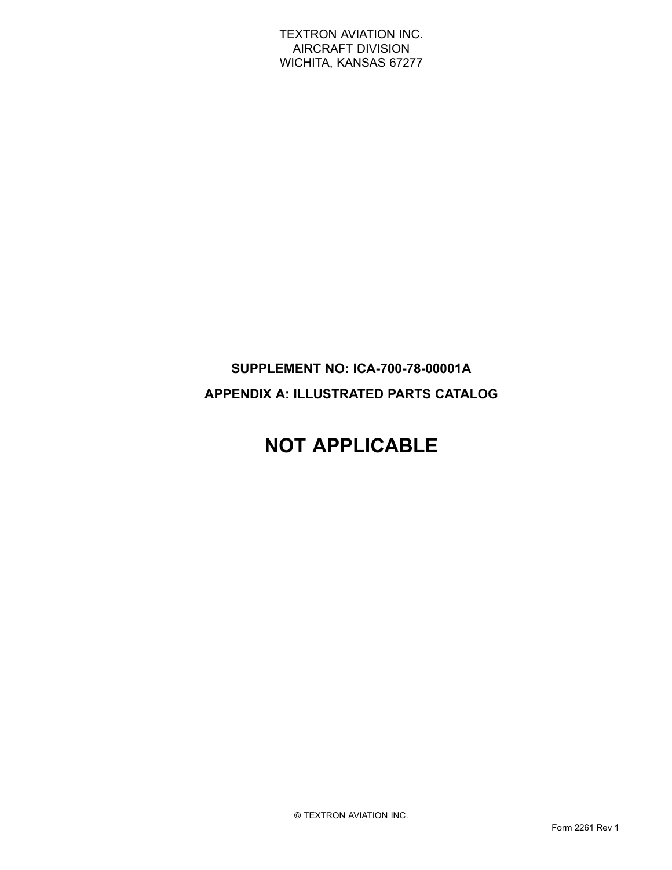TEXTRON AVIATION INC. AIRCRAFT DIVISION WICHITA, KANSAS 67277

### **SUPPLEMENT NO: ICA-700-78-00001A APPENDIX A: ILLUSTRATED PARTS CATALOG**

# **NOT APPLICABLE**